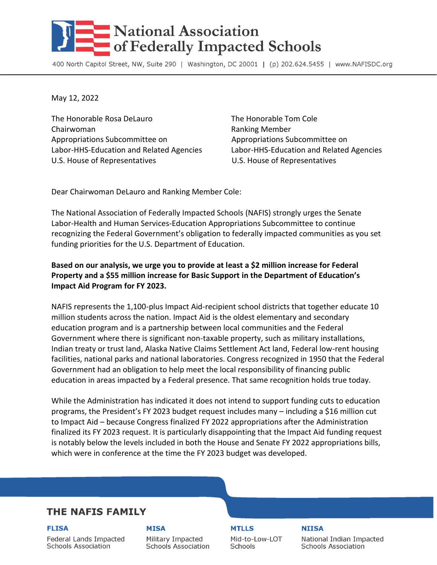# **National Association** of Federally Impacted Schools

400 North Capitol Street, NW, Suite 290 | Washington, DC 20001 | (p) 202.624.5455 | www.NAFISDC.org

May 12, 2022

The Honorable Rosa DeLauro The Honorable Tom Cole Chairwoman **Ranking Member** Ranking Member Appropriations Subcommittee on Appropriations Subcommittee on U.S. House of Representatives U.S. House of Representatives

Labor-HHS-Education and Related Agencies Labor-HHS-Education and Related Agencies

Dear Chairwoman DeLauro and Ranking Member Cole:

The National Association of Federally Impacted Schools (NAFIS) strongly urges the Senate Labor-Health and Human Services-Education Appropriations Subcommittee to continue recognizing the Federal Government's obligation to federally impacted communities as you set funding priorities for the U.S. Department of Education.

### **Based on our analysis, we urge you to provide at least a \$2 million increase for Federal Property and a \$55 million increase for Basic Support in the Department of Education's Impact Aid Program for FY 2023.**

NAFIS represents the 1,100-plus Impact Aid-recipient school districts that together educate 10 million students across the nation. Impact Aid is the oldest elementary and secondary education program and is a partnership between local communities and the Federal Government where there is significant non-taxable property, such as military installations, Indian treaty or trust land, Alaska Native Claims Settlement Act land, Federal low-rent housing facilities, national parks and national laboratories. Congress recognized in 1950 that the Federal Government had an obligation to help meet the local responsibility of financing public education in areas impacted by a Federal presence. That same recognition holds true today.

While the Administration has indicated it does not intend to support funding cuts to education programs, the President's FY 2023 budget request includes many – including a \$16 million cut to Impact Aid – because Congress finalized FY 2022 appropriations after the Administration finalized its FY 2023 request. It is particularly disappointing that the Impact Aid funding request is notably below the levels included in both the House and Senate FY 2022 appropriations bills, which were in conference at the time the FY 2023 budget was developed.

## **THE NAFIS FAMILY**

**FLISA** 

#### **MISA**

Federal Lands Impacted **Schools Association** 

Military Impacted **Schools Association**  **MTLLS** 

**NIISA** Mid-to-Low-LOT Schools

National Indian Impacted **Schools Association**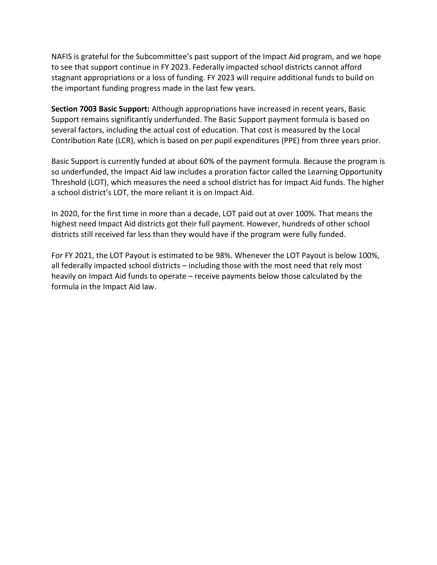NAFIS is grateful for the Subcommittee's past support of the Impact Aid program, and we hope to see that support continue in FY 2023. Federally impacted school districts cannot afford stagnant appropriations or a loss of funding. FY 2023 will require additional funds to build on the important funding progress made in the last few years.

**Section 7003 Basic Support:** Although appropriations have increased in recent years, Basic Support remains significantly underfunded. The Basic Support payment formula is based on several factors, including the actual cost of education. That cost is measured by the Local Contribution Rate (LCR), which is based on per pupil expenditures (PPE) from three years prior.

Basic Support is currently funded at about 60% of the payment formula. Because the program is so underfunded, the Impact Aid law includes a proration factor called the Learning Opportunity Threshold (LOT), which measures the need a school district has for Impact Aid funds. The higher a school district's LOT, the more reliant it is on Impact Aid.

In 2020, for the first time in more than a decade, LOT paid out at over 100%. That means the highest need Impact Aid districts got their full payment. However, hundreds of other school districts still received far less than they would have if the program were fully funded.

For FY 2021, the LOT Payout is estimated to be 98%. Whenever the LOT Payout is below 100%, all federally impacted school districts – including those with the most need that rely most heavily on Impact Aid funds to operate – receive payments below those calculated by the formula in the Impact Aid law.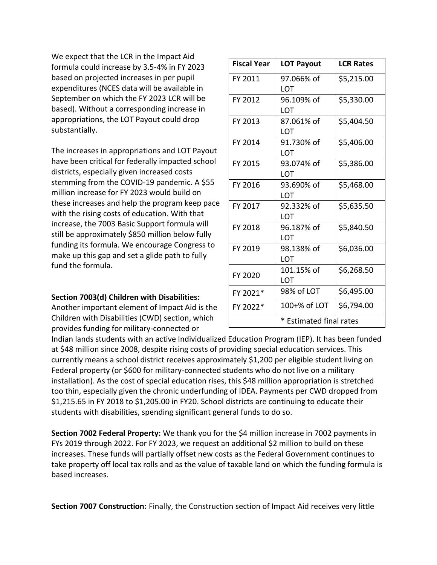We expect that the LCR in the Impact Aid formula could increase by 3.5-4% in FY 2023 based on projected increases in per pupil expenditures (NCES data will be available in September on which the FY 2023 LCR will be based). Without a corresponding increase in appropriations, the LOT Payout could drop substantially.

The increases in appropriations and LOT Payout have been critical for federally impacted school districts, especially given increased costs stemming from the COVID-19 pandemic. A \$55 million increase for FY 2023 would build on these increases and help the program keep pace with the rising costs of education. With that increase, the 7003 Basic Support formula will still be approximately \$850 million below fully funding its formula. We encourage Congress to make up this gap and set a glide path to fully fund the formula.

#### **Section 7003(d) Children with Disabilities:**

Another important element of Impact Aid is the Children with Disabilities (CWD) section, which provides funding for military-connected or

| <b>Fiscal Year</b> | <b>LOT Payout</b>       | <b>LCR Rates</b> |
|--------------------|-------------------------|------------------|
| FY 2011            | 97.066% of<br>LOT       | \$5,215.00       |
| FY 2012            | 96.109% of<br>LOT       | \$5,330.00       |
| FY 2013            | 87.061% of<br>LOT       | \$5,404.50       |
| FY 2014            | 91.730% of<br>LOT       | \$5,406.00       |
| FY 2015            | 93.074% of<br>LOT       | \$5,386.00       |
| FY 2016            | 93.690% of<br>LOT       | \$5,468.00       |
| FY 2017            | 92.332% of<br>LOT       | \$5,635.50       |
| FY 2018            | 96.187% of<br>LOT       | \$5,840.50       |
| FY 2019            | 98.138% of<br>LOT       | \$6,036.00       |
| FY 2020            | 101.15% of<br>LOT       | \$6,268.50       |
| FY 2021*           | 98% of LOT              | \$6,495.00       |
| FY 2022*           | 100+% of LOT            | \$6,794.00       |
|                    | * Estimated final rates |                  |

Indian lands students with an active Individualized Education Program (IEP). It has been funded at \$48 million since 2008, despite rising costs of providing special education services. This currently means a school district receives approximately \$1,200 per eligible student living on Federal property (or \$600 for military-connected students who do not live on a military installation). As the cost of special education rises, this \$48 million appropriation is stretched too thin, especially given the chronic underfunding of IDEA. Payments per CWD dropped from \$1,215.65 in FY 2018 to \$1,205.00 in FY20. School districts are continuing to educate their students with disabilities, spending significant general funds to do so.

**Section 7002 Federal Property:** We thank you for the \$4 million increase in 7002 payments in FYs 2019 through 2022. For FY 2023, we request an additional \$2 million to build on these increases. These funds will partially offset new costs as the Federal Government continues to take property off local tax rolls and as the value of taxable land on which the funding formula is based increases.

**Section 7007 Construction:** Finally, the Construction section of Impact Aid receives very little